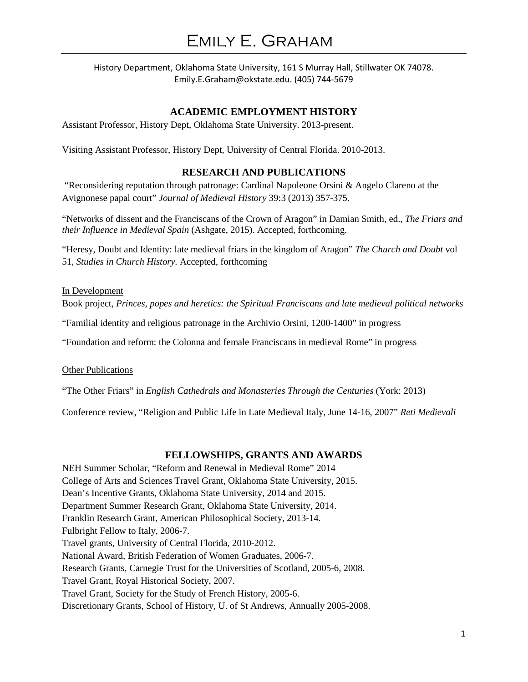## **ACADEMIC EMPLOYMENT HISTORY**

Assistant Professor, History Dept, Oklahoma State University. 2013-present.

Visiting Assistant Professor, History Dept, University of Central Florida. 2010-2013.

## **RESEARCH AND PUBLICATIONS**

"Reconsidering reputation through patronage: Cardinal Napoleone Orsini & Angelo Clareno at the Avignonese papal court" *Journal of Medieval History* 39:3 (2013) 357-375.

"Networks of dissent and the Franciscans of the Crown of Aragon" in Damian Smith, ed., *The Friars and their Influence in Medieval Spain* (Ashgate, 2015). Accepted, forthcoming.

"Heresy, Doubt and Identity: late medieval friars in the kingdom of Aragon" *The Church and Doubt* vol 51, *Studies in Church History.* Accepted, forthcoming

#### In Development

Book project, *Princes, popes and heretics: the Spiritual Franciscans and late medieval political networks*

"Familial identity and religious patronage in the Archivio Orsini, 1200-1400" in progress

"Foundation and reform: the Colonna and female Franciscans in medieval Rome" in progress

**Other Publications** 

"The Other Friars" in *English Cathedrals and Monasteries Through the Centuries* (York: 2013)

Conference review, "Religion and Public Life in Late Medieval Italy, June 14-16, 2007" *Reti Medievali*

#### **FELLOWSHIPS, GRANTS AND AWARDS**

NEH Summer Scholar, "Reform and Renewal in Medieval Rome" 2014 College of Arts and Sciences Travel Grant, Oklahoma State University, 2015. Dean's Incentive Grants, Oklahoma State University, 2014 and 2015. Department Summer Research Grant, Oklahoma State University, 2014. Franklin Research Grant, American Philosophical Society, 2013-14. Fulbright Fellow to Italy, 2006-7. Travel grants, University of Central Florida, 2010-2012. National Award, British Federation of Women Graduates, 2006-7. Research Grants, Carnegie Trust for the Universities of Scotland, 2005-6, 2008. Travel Grant, Royal Historical Society, 2007. Travel Grant, Society for the Study of French History, 2005-6. Discretionary Grants, School of History, U. of St Andrews, Annually 2005-2008.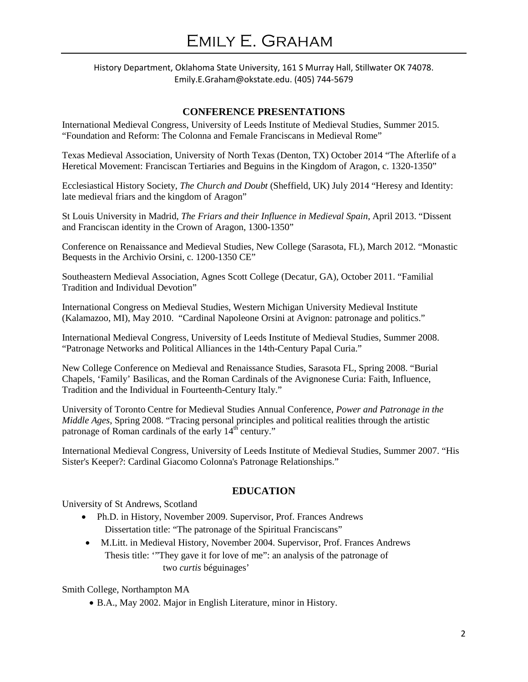# **CONFERENCE PRESENTATIONS**

International Medieval Congress, University of Leeds Institute of Medieval Studies, Summer 2015. "Foundation and Reform: The Colonna and Female Franciscans in Medieval Rome"

Texas Medieval Association, University of North Texas (Denton, TX) October 2014 "The Afterlife of a Heretical Movement: Franciscan Tertiaries and Beguins in the Kingdom of Aragon, c. 1320-1350"

Ecclesiastical History Society, *The Church and Doubt* (Sheffield, UK) July 2014 "Heresy and Identity: late medieval friars and the kingdom of Aragon"

St Louis University in Madrid, *The Friars and their Influence in Medieval Spain*, April 2013. "Dissent and Franciscan identity in the Crown of Aragon, 1300-1350"

Conference on Renaissance and Medieval Studies, New College (Sarasota, FL), March 2012. "Monastic Bequests in the Archivio Orsini, c. 1200-1350 CE"

Southeastern Medieval Association, Agnes Scott College (Decatur, GA), October 2011. "Familial Tradition and Individual Devotion"

International Congress on Medieval Studies, Western Michigan University Medieval Institute (Kalamazoo, MI), May 2010. "Cardinal Napoleone Orsini at Avignon: patronage and politics."

International Medieval Congress, University of Leeds Institute of Medieval Studies, Summer 2008. "Patronage Networks and Political Alliances in the 14th-Century Papal Curia."

New College Conference on Medieval and Renaissance Studies, Sarasota FL, Spring 2008. "Burial Chapels, 'Family' Basilicas, and the Roman Cardinals of the Avignonese Curia: Faith, Influence, Tradition and the Individual in Fourteenth-Century Italy."

University of Toronto Centre for Medieval Studies Annual Conference, *Power and Patronage in the Middle Ages*, Spring 2008. "Tracing personal principles and political realities through the artistic patronage of Roman cardinals of the early 14<sup>th</sup> century."

International Medieval Congress, University of Leeds Institute of Medieval Studies, Summer 2007. "His Sister's Keeper?: Cardinal Giacomo Colonna's Patronage Relationships."

# **EDUCATION**

University of St Andrews, Scotland

- Ph.D. in History, November 2009. Supervisor, Prof. Frances Andrews Dissertation title: "The patronage of the Spiritual Franciscans"
- M.Litt. in Medieval History, November 2004. Supervisor, Prof. Frances Andrews Thesis title: '"They gave it for love of me": an analysis of the patronage of two *curtis* béguinages'

Smith College, Northampton MA

• B.A., May 2002. Major in English Literature, minor in History.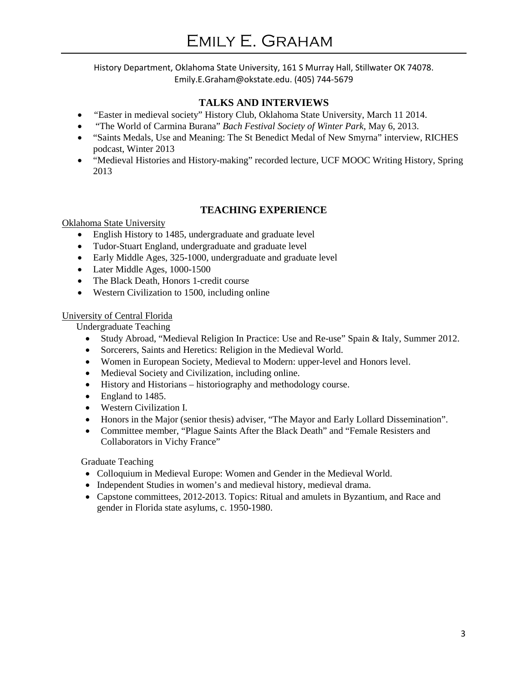# **TALKS AND INTERVIEWS**

- *"*Easter in medieval society" History Club, Oklahoma State University, March 11 2014.
- "The World of Carmina Burana" *Bach Festival Society of Winter Park*, May 6, 2013.
- "Saints Medals, Use and Meaning: The St Benedict Medal of New Smyrna" interview, RICHES podcast, Winter 2013
- "Medieval Histories and History-making" recorded lecture, UCF MOOC Writing History, Spring 2013

# **TEACHING EXPERIENCE**

## Oklahoma State University

- English History to 1485, undergraduate and graduate level
- Tudor-Stuart England, undergraduate and graduate level
- Early Middle Ages, 325-1000, undergraduate and graduate level
- Later Middle Ages, 1000-1500
- The Black Death, Honors 1-credit course
- Western Civilization to 1500, including online

## University of Central Florida

Undergraduate Teaching

- Study Abroad, "Medieval Religion In Practice: Use and Re-use" Spain & Italy, Summer 2012.
- Sorcerers, Saints and Heretics: Religion in the Medieval World.
- Women in European Society, Medieval to Modern: upper-level and Honors level.
- Medieval Society and Civilization, including online.
- History and Historians historiography and methodology course.
- England to 1485.
- Western Civilization I.
- Honors in the Major (senior thesis) adviser, "The Mayor and Early Lollard Dissemination".
- Committee member, "Plague Saints After the Black Death" and "Female Resisters and Collaborators in Vichy France"

# Graduate Teaching

- Colloquium in Medieval Europe: Women and Gender in the Medieval World.
- Independent Studies in women's and medieval history, medieval drama.
- Capstone committees, 2012-2013. Topics: Ritual and amulets in Byzantium, and Race and gender in Florida state asylums, c. 1950-1980.